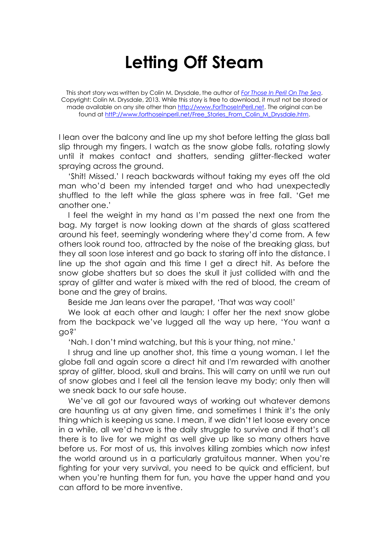## **Letting Off Steam**

This short story was written by Colin M. Drysdale, the author of *[For Those In Peril On The Sea](http://www.forthoseinperil.net/)*. Copyright: Colin M. Drysdale, 2013. While this story is free to download, it must not be stored or made available on any site other than [http://www.ForThoseInPeril.net.](http://www.forthoseinperil.net/) The original can be found a[t httP://www.forthoseinperil.net/Free\\_Stories\\_From\\_Colin\\_M\\_Drysdale.htm.](http://www.forthoseinperil.net/Free_Stories_From_Colin_M_Drysdale.htm)

I lean over the balcony and line up my shot before letting the glass ball slip through my fingers. I watch as the snow globe falls, rotating slowly until it makes contact and shatters, sending glitter-flecked water spraying across the ground.

'Shit! Missed.' I reach backwards without taking my eyes off the old man who'd been my intended target and who had unexpectedly shuffled to the left while the glass sphere was in free fall. 'Get me another one.'

I feel the weight in my hand as I'm passed the next one from the bag. My target is now looking down at the shards of glass scattered around his feet, seemingly wondering where they'd come from. A few others look round too, attracted by the noise of the breaking glass, but they all soon lose interest and go back to staring off into the distance. I line up the shot again and this time I get a direct hit. As before the snow globe shatters but so does the skull it just collided with and the spray of glitter and water is mixed with the red of blood, the cream of bone and the grey of brains.

Beside me Jan leans over the parapet, 'That was way cool!'

We look at each other and laugh; I offer her the next snow globe from the backpack we've lugged all the way up here, 'You want a go?'

'Nah. I don't mind watching, but this is your thing, not mine.'

I shrug and line up another shot, this time a young woman. I let the globe fall and again score a direct hit and I'm rewarded with another spray of glitter, blood, skull and brains. This will carry on until we run out of snow globes and I feel all the tension leave my body; only then will we sneak back to our safe house.

We've all got our favoured ways of working out whatever demons are haunting us at any given time, and sometimes I think it's the only thing which is keeping us sane. I mean, if we didn't let loose every once in a while, all we'd have is the daily struggle to survive and if that's all there is to live for we might as well give up like so many others have before us. For most of us, this involves killing zombies which now infest the world around us in a particularly gratuitous manner. When you're fighting for your very survival, you need to be quick and efficient, but when you're hunting them for fun, you have the upper hand and you can afford to be more inventive.